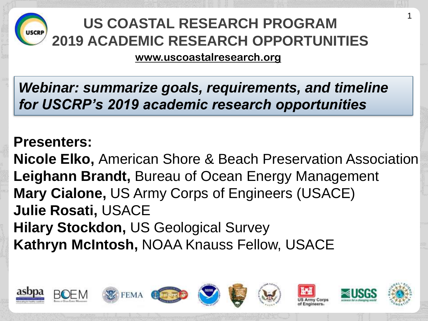

#### **US COASTAL RESEARCH PROGRAM 2019 ACADEMIC RESEARCH OPPORTUNITIES**

1

**www.uscoastalresearch.org**

*Webinar: summarize goals, requirements, and timeline for USCRP's 2019 academic research opportunities*

#### **Presenters:**

**Nicole Elko,** American Shore & Beach Preservation Association **Leighann Brandt,** Bureau of Ocean Energy Management **Mary Cialone,** US Army Corps of Engineers (USACE) **Julie Rosati,** USACE **Hilary Stockdon,** US Geological Survey **Kathryn McIntosh,** NOAA Knauss Fellow, USACE

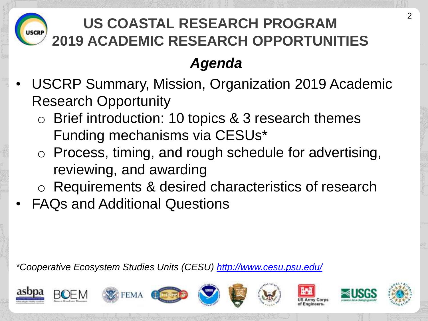

## **US COASTAL RESEARCH PROGRAM 2019 ACADEMIC RESEARCH OPPORTUNITIES**

#### *Agenda*

- USCRP Summary, Mission, Organization 2019 Academic Research Opportunity
	- o Brief introduction: 10 topics & 3 research themes Funding mechanisms via CESUs\*
	- o Process, timing, and rough schedule for advertising, reviewing, and awarding
	- o Requirements & desired characteristics of research
- FAQs and Additional Questions

*\*Cooperative Ecosystem Studies Units (CESU) http://www.cesu.psu.edu/*

















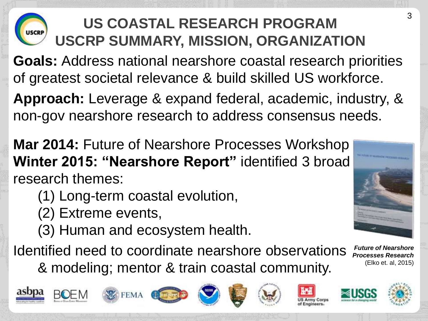## **US COASTAL RESEARCH PROGRAM USCRP SUMMARY, MISSION, ORGANIZATION**

**Goals:** Address national nearshore coastal research priorities of greatest societal relevance & build skilled US workforce.

**Approach:** Leverage & expand federal, academic, industry, & non-gov nearshore research to address consensus needs.

**Mar 2014:** Future of Nearshore Processes Workshop **Winter 2015: "Nearshore Report"** identified 3 broad research themes:

- (1) Long-term coastal evolution,
- (2) Extreme events,
- (3) Human and ecosystem health.

Identified need to coordinate nearshore observations & modeling; mentor & train coastal community. *Future of Nearshore Processes Research*



















(Elko et. al, 2015)

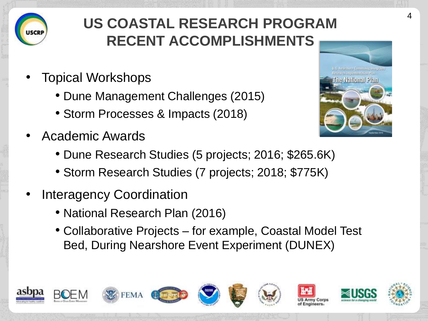

## **US COASTAL RESEARCH PROGRAM RECENT ACCOMPLISHMENTS**

- Topical Workshops
	- Dune Management Challenges (2015)
	- Storm Processes & Impacts (2018)
- Academic Awards
	- Dune Research Studies (5 projects; 2016; \$265.6K)
	- Storm Research Studies (7 projects; 2018; \$775K)
- Interagency Coordination
	- National Research Plan (2016)
	- Collaborative Projects for example, Coastal Model Test Bed, During Nearshore Event Experiment (DUNEX)



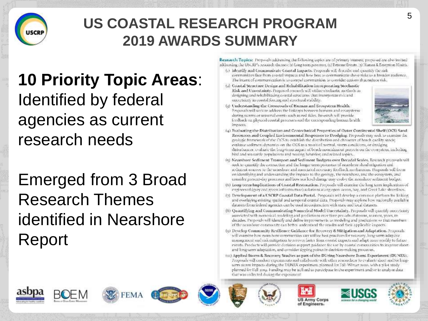

#### **US COASTAL RESEARCH PROGRAM 2019 AWARDS SUMMARY**

**10 Priority Topic Areas**: Identified by federal agencies as current research needs

Emerged from 3 Broad Research Themes identified in Nearshore Report

Research Topics: Proposals addressing the following upics are of primary interest; proposed are also invited atkliessing the USCRP's research themes: h) Long-term processes, (a) Extreme Events, (a) Haman & Ecosystom Hisalth.

- (c) Identify and Communicate Coastal Impacts. Proposals will describe and quantify the risk communities face from coastal impacts and how best to communicate those risks to a broader audience. The intent of communication is to commel communities to consider actions that reduce risk.
- (2) Coastal Structure Design and Rehabilitation incorporating Stochastic Risk and Uncertainty. Proposed research will utilize stochastic nethods indesigning and rehabilitating coastal structures, that incorporate risk and uncertainty in coastal forcing and structural stability.
- (a) Understanding the Crossroads of Human and Ecosystem Health. Proposals will seek to address the linkages between humans and ecosystems. during surros or seasonal events such as red tides. Research will provide feedback on physical coastal processes and the corresponding homan health. impacts.



- (4) Evaluating the Distribution and Contechnical Properties of Outer Continental Shelf (OCS) Sand-Resources and Coupled Environmental Responses to Dredging. Proposals may seek to examine the geologic financients of the CCS to establish the distribution and elargeter of boach quality sands; evaluate sediment dynamics on the OCS as a result of normal, storm conditions, or dredging distuibances, coalizate the long-term impact of beach nonmalmient projects on the crossystem, including bird and sea turtle populations and nesting behavior; and related topics...
- 15) Nearshore Sediment Transport and Sediment Budgets over Decadal Seales. Research proposals will seek to quantify the connection and the longer term processes of nearshore shoal migration and sediment sources to the nearshore and associated recessary feedback mechanisms. Proposals will focus on identifying and understanding the impacts to the geology, the nearshore, and the ecosystem, and consider present-day processes and how sea level change may evolve the nearshope sediment budget.
- (6) Long-term Implications of Coastal Restoration. Proposals will examine the long term implications of engineered (grey and green infrastmeture) solutions along open ocean, hay, and Great Lake shorelines.
- (7) Development of a USCRP Coastal Data Portal. Proposals will develop a common platform for linking and overlaying existing spatial and temporal coastal data. Proposals may explore how nacionally available. datasets from federal agencies cars be used in conjunction with state and local datasets.
- (8) Quantifying and Communicating Numerical Model Uncertainty, Proposals will quantify interratinty associated with numerical modeling and predictions over time periods of storms, scasons, years, todecades. Proposals will identify and define improvements ac modeling and predictions so that members of the nearshore community can better understand the results and their applicable impacts.
- (9) Develop Community Resilience Guidance for Recovery & Mitigation and Adaptation. Proposals will examine how nears hore communities can utilize hest practices for recovery, long-term adaptive management and radi mitigation to recover faster from coastal impacts and adapt more readily to future esents. Products will provide decision support puidance for use by coastal communities to improve shortand long-term adaptation, and consider tipping points in decision-making processes,
- (10) Applied Storm & Recovery Studies as part of the DUring Nearshore Event Experiment (DUNEX). Proposals will conduct experiments and collaborate with other researchers to cyaluate short and/or longuern storm impacts during the DUNEX experiment planned for Fall-Winter 2020, with a pilot study planned for I'all amy. Funding may be acilized to participate in the experiment and/or to analyze data that was collected during the experiment

















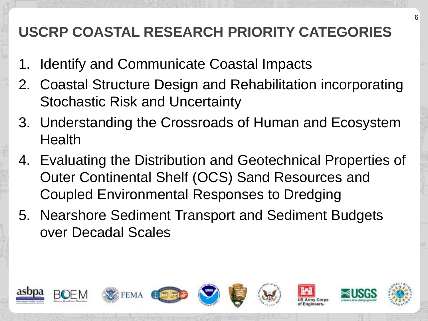### **USCRP COASTAL RESEARCH PRIORITY CATEGORIES**

- 1. Identify and Communicate Coastal Impacts
- 2. Coastal Structure Design and Rehabilitation incorporating Stochastic Risk and Uncertainty
- 3. Understanding the Crossroads of Human and Ecosystem **Health**
- 4. Evaluating the Distribution and Geotechnical Properties of Outer Continental Shelf (OCS) Sand Resources and Coupled Environmental Responses to Dredging
- 5. Nearshore Sediment Transport and Sediment Budgets over Decadal Scales

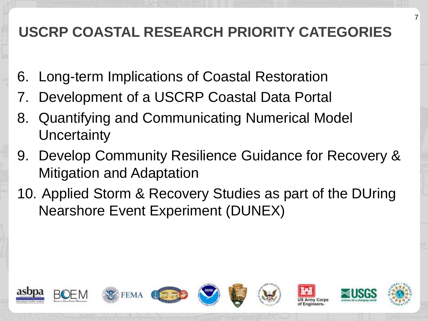### **USCRP COASTAL RESEARCH PRIORITY CATEGORIES**

- 6. Long-term Implications of Coastal Restoration
- 7. Development of a USCRP Coastal Data Portal
- 8. Quantifying and Communicating Numerical Model **Uncertainty**
- 9. Develop Community Resilience Guidance for Recovery & Mitigation and Adaptation
- 10. Applied Storm & Recovery Studies as part of the DUring Nearshore Event Experiment (DUNEX)

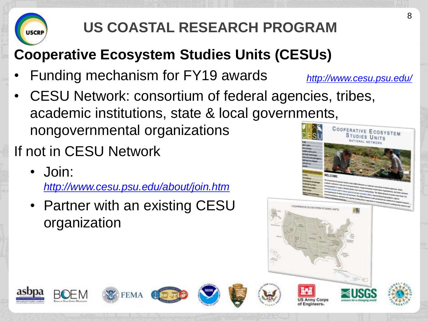# **US COASTAL RESEARCH PROGRAM**

## **Cooperative Ecosystem Studies Units (CESUs)**

- Funding mechanism for FY19 awards
- CESU Network: consortium of federal agencies, tribes, academic institutions, state & local governments, nongovernmental organizations
- If not in CESU Network
	- Join:

*http://www.cesu.psu.edu/about/join.htm*

• Partner with an existing CESU organization



*http://www.cesu.psu.edu/*















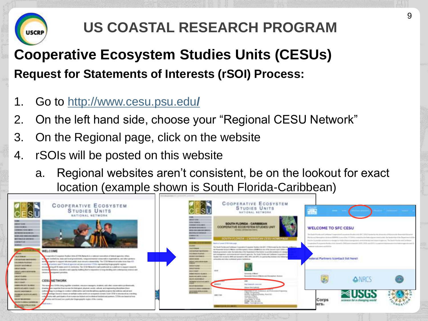

## **US COASTAL RESEARCH PROGRAM**

### **Cooperative Ecosystem Studies Units (CESUs) Request for Statements of Interests (rSOI) Process:**

- 1. Go to [http://www.cesu.psu.edu](http://www.cesu.psu.edu/)**/**
- 2. On the left hand side, choose your "Regional CESU Network"
- 3. On the Regional page, click on the website
- 4. rSOIs will be posted on this website
	- a. Regional websites aren't consistent, be on the lookout for exact location (example shown is South Florida-Caribbean)

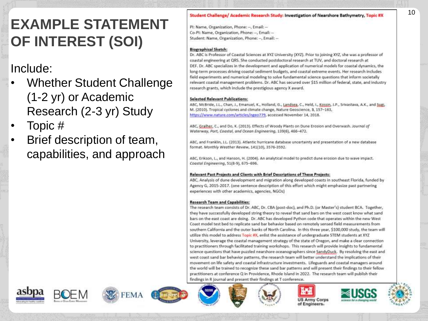#### **EXAMPLE STATEMENT OF INTEREST (SOI)**

#### Include:

- Whether Student Challenge (1 -2 yr) or Academic Research (2 -3 yr) Study
- Topic #
- Brief description of team, capabilities, and approach

#### Student Challenge/ Academic Research Study: Investigation of Nearshore Bathymetry, Topic #X

PI: Name, Organization, Phone: --, Email: --Co-PI: Name, Organization, Phone: --, Email: --Student: Name, Organization, Phone: --, Email: --

#### **Biographical Sketch:**

Dr. ABC is Professor of Coastal Sciences at XYZ University (XYZ). Prior to joining XYZ, she was a professor of coastal engineering at QRS. She conducted postdoctoral research at TUV, and doctoral research at DEF. Dr. ABC specializes in the development and application of numerical models for coastal dynamics, the long-term processes driving coastal sediment budgets, and coastal extreme events. Her research includes field experiments and numerical modeling to solve fundamental science questions that inform societally relevant coastal management problems. Dr. ABC has secured over \$15 million of federal, state, and industry research grants, which include the prestigious agency X award.

#### **Selected Relevant Publications:**

ABC, McBride, J.L., Chan, J., Emanuel, K., Holland, G., Landsea, C., Held, I., Kossin, J.P., Srivastava, A.K., and Sugi, M. (2010). Tropical cyclones and climate change, Nature Geoscience, 3, 157-163, https://www.nature.com/articles/ngeo779, accessed November 14, 2018.

ABC, Grainer, C., and Do, K. (2013). Effects of Woody Plants on Dune Erosion and Overwash. Journal of Waterway, Port, Coastal, and Ocean Engineering, 139(6), 466-472.

ABC, and Franklin, J.L. (2013). Atlantic hurricane database uncertainty and presentation of a new database format. Monthly Weather Review, 141(10), 3576-3592.

ABC, Erikson, L., and Hanson, H. (2004). An analytical model to predict dune erosion due to wave impact. Coastal Engineering, 51(8-9), 675-696.

#### Relevant Past Projects and Clients with Brief Descriptions of These Projects:

ABC, Analysis of dune development and migration along developed coasts in southeast Florida, funded by Agency G, 2015-2017. (one sentence description of this effort which might emphasize past partnering experiences with other academics, agencies, NGOs)

#### **Research Team and Capabilities:**

The research team consists of Dr. ABC, Dr. CBA (post-doc), and Ph.D. (or Master's) student BCA. Together, they have successfully developed string theory to reveal that sand bars on the west coast know what sand bars on the east coast are doing. Dr. ABC has developed Python code that operates within the new West Coast model test bed to replicate sand bar behavior based on remotely sensed field measurements from southern California and the outer banks of North Carolina. In this three year, \$100,000 study, the team will utilize this model to address Topic #X, enlist the assistance of undergraduate STEM students at XYZ University, leverage the coastal management strategy of the state of Oregon, and make a clear connection to practitioners through facilitated training workshops. This research will provide insights to fundamental science questions that have puzzled nearshore oceanographers since SandyDuck. By resolving the east and west coast sand bar behavior patterns, the research team will better understand the implications of their movement on life safety and coastal infrastructure investments. Lifeguards and coastal managers around the world will be trained to recognize these sand bar patterns and will present their findings to their fellow practitioners at conference Q in Providence, Rhode Island in 2022. The research team will publish their findings in R journal and present their findings at T conference.

















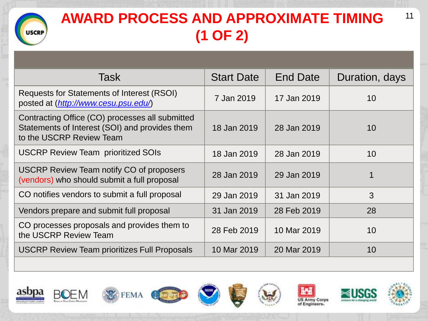#### **AWARD PROCESS AND APPROXIMATE TIMING USCRP (1 OF 2)**

| Task                                                                                                                          | <b>Start Date</b> | <b>End Date</b> | Duration, days |
|-------------------------------------------------------------------------------------------------------------------------------|-------------------|-----------------|----------------|
| <b>Requests for Statements of Interest (RSOI)</b><br>posted at (http://www.cesu.psu.edu/)                                     | 7 Jan 2019        | 17 Jan 2019     | 10             |
| Contracting Office (CO) processes all submitted<br>Statements of Interest (SOI) and provides them<br>to the USCRP Review Team | 18 Jan 2019       | 28 Jan 2019     | 10             |
| <b>USCRP Review Team prioritized SOIs</b>                                                                                     | 18 Jan 2019       | 28 Jan 2019     | 10             |
| USCRP Review Team notify CO of proposers<br>(vendors) who should submit a full proposal                                       | 28 Jan 2019       | 29 Jan 2019     | 1              |
| CO notifies vendors to submit a full proposal                                                                                 | 29 Jan 2019       | 31 Jan 2019     | 3              |
| Vendors prepare and submit full proposal                                                                                      | 31 Jan 2019       | 28 Feb 2019     | 28             |
| CO processes proposals and provides them to<br>the USCRP Review Team                                                          | 28 Feb 2019       | 10 Mar 2019     | 10             |
| <b>USCRP Review Team prioritizes Full Proposals</b>                                                                           | 10 Mar 2019       | 20 Mar 2019     | 10             |
|                                                                                                                               |                   |                 |                |

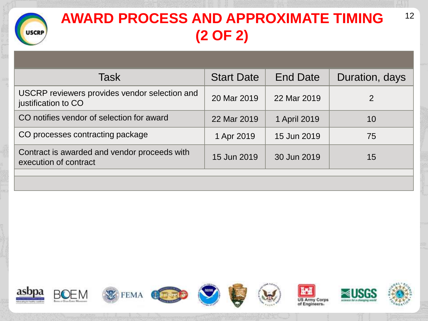

## **AWARD PROCESS AND APPROXIMATE TIMING (2 OF 2)**

| Task                                                                  | <b>Start Date</b> | <b>End Date</b> | Duration, days |
|-----------------------------------------------------------------------|-------------------|-----------------|----------------|
| USCRP reviewers provides vendor selection and<br>justification to CO  | 20 Mar 2019       | 22 Mar 2019     | 2              |
| CO notifies vendor of selection for award                             | 22 Mar 2019       | 1 April 2019    | 10             |
| CO processes contracting package                                      | 1 Apr 2019        | 15 Jun 2019     | 75             |
| Contract is awarded and vendor proceeds with<br>execution of contract | 15 Jun 2019       | 30 Jun 2019     | 15             |
|                                                                       |                   |                 |                |

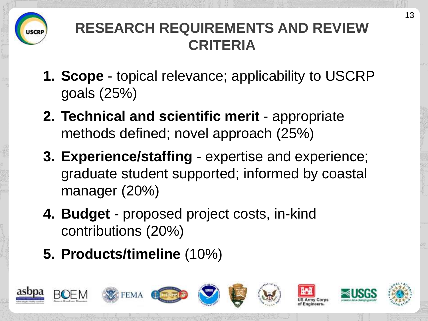

### **RESEARCH REQUIREMENTS AND REVIEW CRITERIA**

- **1. Scope** topical relevance; applicability to USCRP goals (25%)
- **2. Technical and scientific merit** appropriate methods defined; novel approach (25%)
- **3. Experience/staffing** expertise and experience; graduate student supported; informed by coastal manager (20%)
- **4. Budget**  proposed project costs, in-kind contributions (20%)
- **5. Products/timeline** (10%)

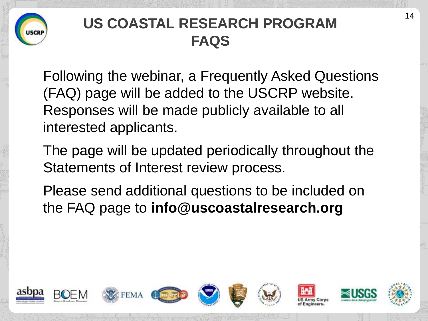

### **US COASTAL RESEARCH PROGRAM FAQS**

Following the webinar, a Frequently Asked Questions (FAQ) page will be added to the USCRP website. Responses will be made publicly available to all interested applicants.

The page will be updated periodically throughout the Statements of Interest review process.

Please send additional questions to be included on the FAQ page to **info@uscoastalresearch.org**